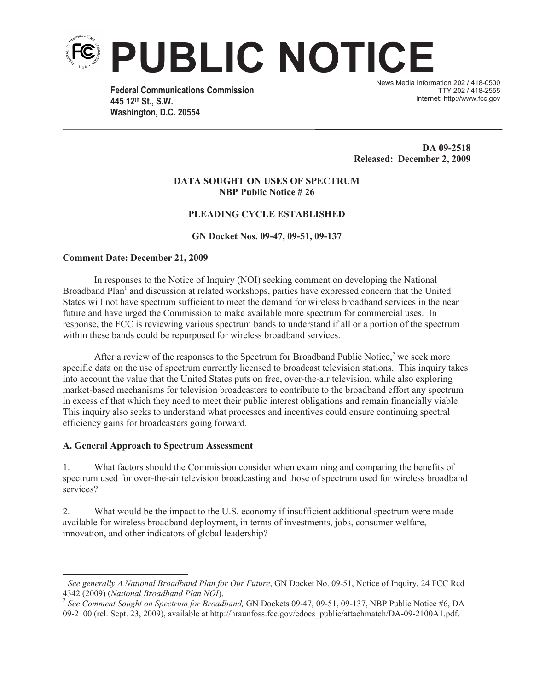

**Federal Communications Commission 445 12th St., S.W. Washington, D.C. 20554**

News Media Information 202 / 418-0500 TTY 202 / 418-2555 Internet: http://www.fcc.gov

**DA 09-2518 Released: December 2, 2009**

#### **DATA SOUGHT ON USES OF SPECTRUM NBP Public Notice # 26**

## **PLEADING CYCLE ESTABLISHED**

#### **GN Docket Nos. 09-47, 09-51, 09-137**

#### **Comment Date: December 21, 2009**

In responses to the Notice of Inquiry (NOI) seeking comment on developing the National Broadband Plan<sup>1</sup> and discussion at related workshops, parties have expressed concern that the United States will not have spectrum sufficient to meet the demand for wireless broadband services in the near future and have urged the Commission to make available more spectrum for commercial uses. In response, the FCC is reviewing various spectrum bands to understand if all or a portion of the spectrum within these bands could be repurposed for wireless broadband services.

After a review of the responses to the Spectrum for Broadband Public Notice,<sup>2</sup> we seek more specific data on the use of spectrum currently licensed to broadcast television stations. This inquiry takes into account the value that the United States puts on free, over-the-air television, while also exploring market-based mechanisms for television broadcasters to contribute to the broadband effort any spectrum in excess of that which they need to meet their public interest obligations and remain financially viable. This inquiry also seeks to understand what processes and incentives could ensure continuing spectral efficiency gains for broadcasters going forward.

## **A. General Approach to Spectrum Assessment**

1. What factors should the Commission consider when examining and comparing the benefits of spectrum used for over-the-air television broadcasting and those of spectrum used for wireless broadband services?

2. What would be the impact to the U.S. economy if insufficient additional spectrum were made available for wireless broadband deployment, in terms of investments, jobs, consumer welfare, innovation, and other indicators of global leadership?

<sup>&</sup>lt;sup>1</sup> See generally A National Broadband Plan for Our Future, GN Docket No. 09-51, Notice of Inquiry, 24 FCC Rcd

<sup>4342 (2009) (</sup>*National Broadband Plan NOI*). 2 *See Comment Sought on Spectrum for Broadband,* GN Dockets 09-47, 09-51, 09-137, NBP Public Notice #6, DA 09-2100 (rel. Sept. 23, 2009), available at http://hraunfoss.fcc.gov/edocs\_public/attachmatch/DA-09-2100A1.pdf.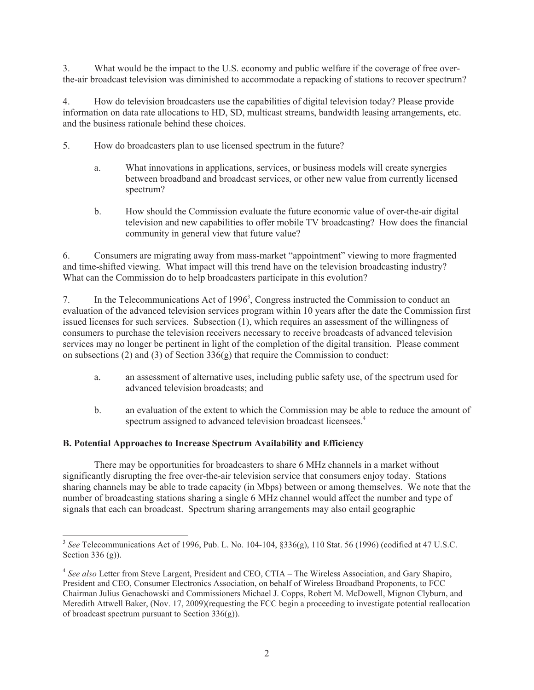3. What would be the impact to the U.S. economy and public welfare if the coverage of free overthe-air broadcast television was diminished to accommodate a repacking of stations to recover spectrum?

4. How do television broadcasters use the capabilities of digital television today? Please provide information on data rate allocations to HD, SD, multicast streams, bandwidth leasing arrangements, etc. and the business rationale behind these choices.

- 5. How do broadcasters plan to use licensed spectrum in the future?
	- a. What innovations in applications, services, or business models will create synergies between broadband and broadcast services, or other new value from currently licensed spectrum?
	- b. How should the Commission evaluate the future economic value of over-the-air digital television and new capabilities to offer mobile TV broadcasting? How does the financial community in general view that future value?

6. Consumers are migrating away from mass-market "appointment" viewing to more fragmented and time-shifted viewing. What impact will this trend have on the television broadcasting industry? What can the Commission do to help broadcasters participate in this evolution?

7. In the Telecommunications Act of 1996<sup>3</sup>, Congress instructed the Commission to conduct an evaluation of the advanced television services program within 10 years after the date the Commission first issued licenses for such services. Subsection (1), which requires an assessment of the willingness of consumers to purchase the television receivers necessary to receive broadcasts of advanced television services may no longer be pertinent in light of the completion of the digital transition. Please comment on subsections (2) and (3) of Section  $336(g)$  that require the Commission to conduct:

- a. an assessment of alternative uses, including public safety use, of the spectrum used for advanced television broadcasts; and
- b. an evaluation of the extent to which the Commission may be able to reduce the amount of spectrum assigned to advanced television broadcast licensees.<sup>4</sup>

# **B. Potential Approaches to Increase Spectrum Availability and Efficiency**

There may be opportunities for broadcasters to share 6 MHz channels in a market without significantly disrupting the free over-the-air television service that consumers enjoy today. Stations sharing channels may be able to trade capacity (in Mbps) between or among themselves. We note that the number of broadcasting stations sharing a single 6 MHz channel would affect the number and type of signals that each can broadcast. Spectrum sharing arrangements may also entail geographic

<sup>3</sup> *See* Telecommunications Act of 1996, Pub. L. No. 104-104, §336(g), 110 Stat. 56 (1996) (codified at 47 U.S.C. Section 336 (g)).

<sup>&</sup>lt;sup>4</sup> See also Letter from Steve Largent, President and CEO, CTIA - The Wireless Association, and Gary Shapiro, President and CEO, Consumer Electronics Association, on behalf of Wireless Broadband Proponents, to FCC Chairman Julius Genachowski and Commissioners Michael J. Copps, Robert M. McDowell, Mignon Clyburn, and Meredith Attwell Baker, (Nov. 17, 2009)(requesting the FCC begin a proceeding to investigate potential reallocation of broadcast spectrum pursuant to Section 336(g)).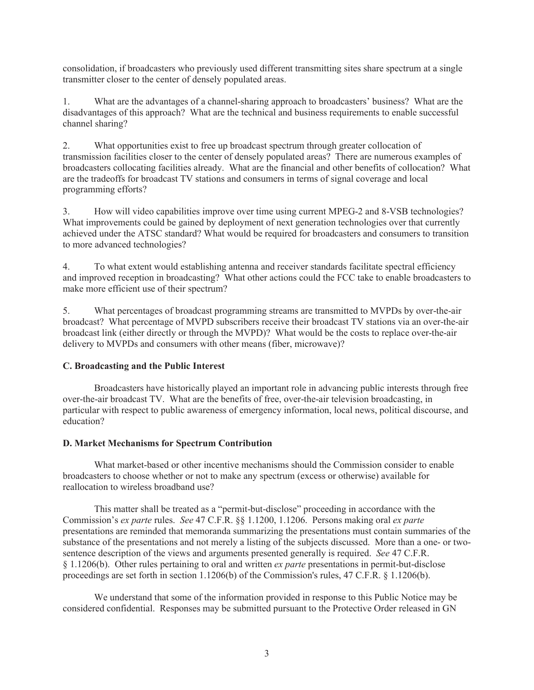consolidation, if broadcasters who previously used different transmitting sites share spectrum at a single transmitter closer to the center of densely populated areas.

1. What are the advantages of a channel-sharing approach to broadcasters' business? What are the disadvantages of this approach? What are the technical and business requirements to enable successful channel sharing?

2. What opportunities exist to free up broadcast spectrum through greater collocation of transmission facilities closer to the center of densely populated areas? There are numerous examples of broadcasters collocating facilities already. What are the financial and other benefits of collocation? What are the tradeoffs for broadcast TV stations and consumers in terms of signal coverage and local programming efforts?

3. How will video capabilities improve over time using current MPEG-2 and 8-VSB technologies? What improvements could be gained by deployment of next generation technologies over that currently achieved under the ATSC standard? What would be required for broadcasters and consumers to transition to more advanced technologies?

4. To what extent would establishing antenna and receiver standards facilitate spectral efficiency and improved reception in broadcasting? What other actions could the FCC take to enable broadcasters to make more efficient use of their spectrum?

5. What percentages of broadcast programming streams are transmitted to MVPDs by over-the-air broadcast? What percentage of MVPD subscribers receive their broadcast TV stations via an over-the-air broadcast link (either directly or through the MVPD)? What would be the costs to replace over-the-air delivery to MVPDs and consumers with other means (fiber, microwave)?

# **C. Broadcasting and the Public Interest**

Broadcasters have historically played an important role in advancing public interests through free over-the-air broadcast TV. What are the benefits of free, over-the-air television broadcasting, in particular with respect to public awareness of emergency information, local news, political discourse, and education?

## **D. Market Mechanisms for Spectrum Contribution**

What market-based or other incentive mechanisms should the Commission consider to enable broadcasters to choose whether or not to make any spectrum (excess or otherwise) available for reallocation to wireless broadband use?

This matter shall be treated as a "permit-but-disclose" proceeding in accordance with the Commission's *ex parte* rules. *See* 47 C.F.R. §§ 1.1200, 1.1206. Persons making oral *ex parte* presentations are reminded that memoranda summarizing the presentations must contain summaries of the substance of the presentations and not merely a listing of the subjects discussed. More than a one- or twosentence description of the views and arguments presented generally is required. *See* 47 C.F.R. § 1.1206(b). Other rules pertaining to oral and written *ex parte* presentations in permit-but-disclose proceedings are set forth in section 1.1206(b) of the Commission's rules, 47 C.F.R. § 1.1206(b).

We understand that some of the information provided in response to this Public Notice may be considered confidential. Responses may be submitted pursuant to the Protective Order released in GN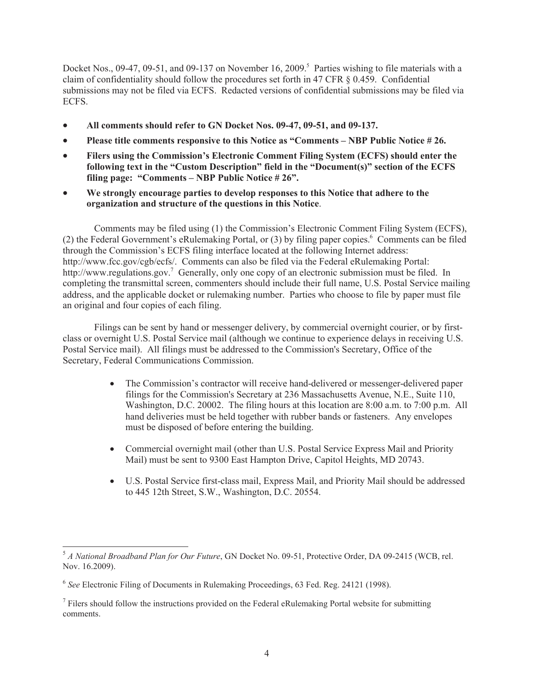Docket Nos., 09-47, 09-51, and 09-137 on November 16, 2009.<sup>5</sup> Parties wishing to file materials with a claim of confidentiality should follow the procedures set forth in 47 CFR § 0.459. Confidential submissions may not be filed via ECFS. Redacted versions of confidential submissions may be filed via ECFS.

- · **All comments should refer to GN Docket Nos. 09-47, 09-51, and 09-137.**
- · **Please title comments responsive to this Notice as "Comments – NBP Public Notice # 26.**
- · **Filers using the Commission's Electronic Comment Filing System (ECFS) should enter the following text in the "Custom Description" field in the "Document(s)" section of the ECFS filing page: "Comments – NBP Public Notice # 26".**
- · **We strongly encourage parties to develop responses to this Notice that adhere to the organization and structure of the questions in this Notice**.

Comments may be filed using (1) the Commission's Electronic Comment Filing System (ECFS), (2) the Federal Government's eRulemaking Portal, or  $(3)$  by filing paper copies.<sup>6</sup> Comments can be filed through the Commission's ECFS filing interface located at the following Internet address: http://www.fcc.gov/cgb/ecfs/. Comments can also be filed via the Federal eRulemaking Portal: http://www.regulations.gov.<sup>7</sup> Generally, only one copy of an electronic submission must be filed. In completing the transmittal screen, commenters should include their full name, U.S. Postal Service mailing address, and the applicable docket or rulemaking number. Parties who choose to file by paper must file an original and four copies of each filing.

Filings can be sent by hand or messenger delivery, by commercial overnight courier, or by firstclass or overnight U.S. Postal Service mail (although we continue to experience delays in receiving U.S. Postal Service mail). All filings must be addressed to the Commission's Secretary, Office of the Secretary, Federal Communications Commission.

- The Commission's contractor will receive hand-delivered or messenger-delivered paper filings for the Commission's Secretary at 236 Massachusetts Avenue, N.E., Suite 110, Washington, D.C. 20002. The filing hours at this location are 8:00 a.m. to 7:00 p.m. All hand deliveries must be held together with rubber bands or fasteners. Any envelopes must be disposed of before entering the building.
- Commercial overnight mail (other than U.S. Postal Service Express Mail and Priority Mail) must be sent to 9300 East Hampton Drive, Capitol Heights, MD 20743.
- · U.S. Postal Service first-class mail, Express Mail, and Priority Mail should be addressed to 445 12th Street, S.W., Washington, D.C. 20554.

<sup>5</sup> *A National Broadband Plan for Our Future*, GN Docket No. 09-51, Protective Order, DA 09-2415 (WCB, rel. Nov. 16.2009).

<sup>6</sup> *See* Electronic Filing of Documents in Rulemaking Proceedings, 63 Fed. Reg. 24121 (1998).

 $<sup>7</sup>$  Filers should follow the instructions provided on the Federal eRulemaking Portal website for submitting</sup> comments.